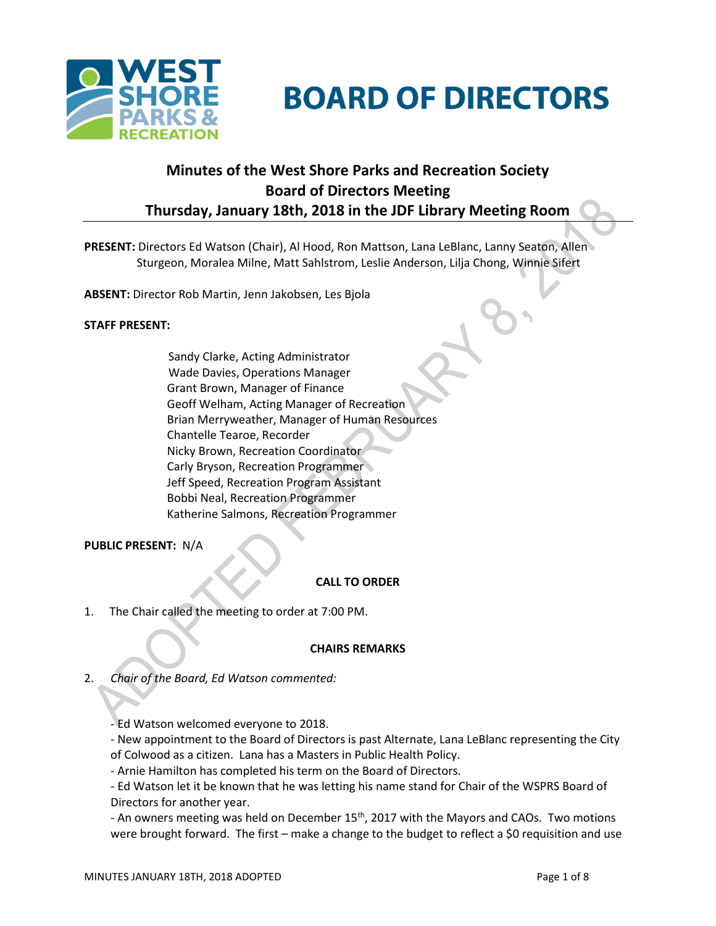

# **BOARD OF DIRECTORS**

# **Minutes of the West Shore Parks and Recreation Society Board of Directors Meeting Thursday, January 18th, 2018 in the JDF Library Meeting Room**

**PRESENT:** Directors Ed Watson (Chair), Al Hood, Ron Mattson, Lana LeBlanc, Lanny Seaton, Allen Sturgeon, Moralea Milne, Matt Sahlstrom, Leslie Anderson, Lilja Chong, Winnie Sifert

**ABSENT:** Director Rob Martin, Jenn Jakobsen, Les Bjola

#### **STAFF PRESENT:**

Sandy Clarke, Acting Administrator Wade Davies, Operations Manager Grant Brown, Manager of Finance Geoff Welham, Acting Manager of Recreation Brian Merryweather, Manager of Human Resources Chantelle Tearoe, Recorder Nicky Brown, Recreation Coordinator Carly Bryson, Recreation Programmer Jeff Speed, Recreation Program Assistant Bobbi Neal, Recreation Programmer Katherine Salmons, Recreation Programmer

# **PUBLIC PRESENT:** N/A

#### **CALL TO ORDER**

1. The Chair called the meeting to order at 7:00 PM.

# **CHAIRS REMARKS**

2. *Chair of the Board, Ed Watson commented:*

- Ed Watson welcomed everyone to 2018.

- New appointment to the Board of Directors is past Alternate, Lana LeBlanc representing the City of Colwood as a citizen. Lana has a Masters in Public Health Policy.

- Arnie Hamilton has completed his term on the Board of Directors.

- Ed Watson let it be known that he was letting his name stand for Chair of the WSPRS Board of Directors for another year.

- An owners meeting was held on December  $15<sup>th</sup>$ , 2017 with the Mayors and CAOs. Two motions were brought forward. The first – make a change to the budget to reflect a \$0 requisition and use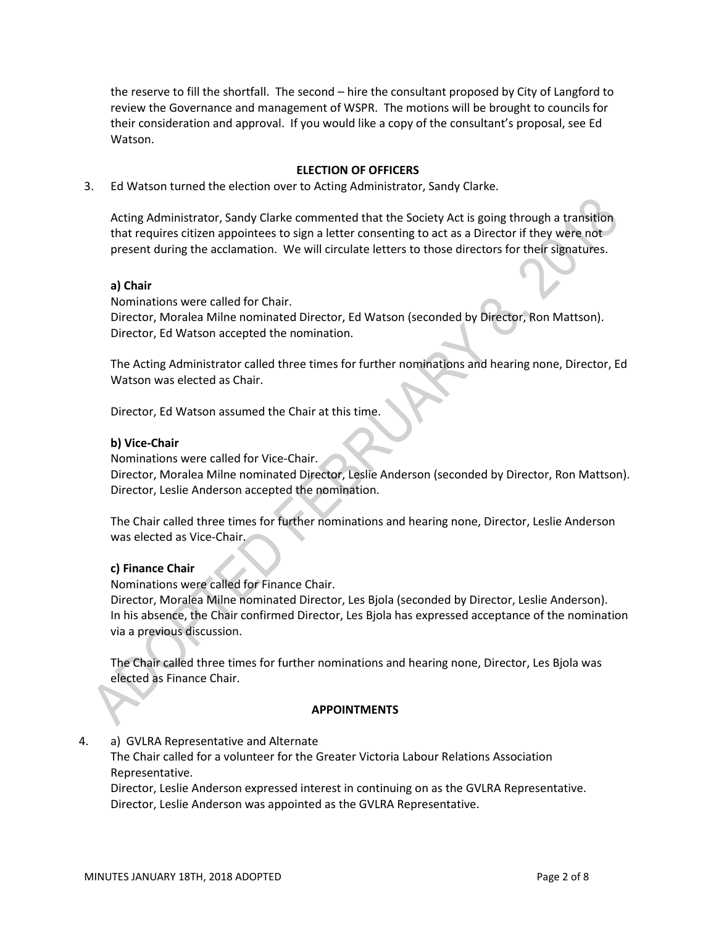the reserve to fill the shortfall. The second – hire the consultant proposed by City of Langford to review the Governance and management of WSPR. The motions will be brought to councils for their consideration and approval. If you would like a copy of the consultant's proposal, see Ed Watson.

#### **ELECTION OF OFFICERS**

3. Ed Watson turned the election over to Acting Administrator, Sandy Clarke.

Acting Administrator, Sandy Clarke commented that the Society Act is going through a transition that requires citizen appointees to sign a letter consenting to act as a Director if they were not present during the acclamation. We will circulate letters to those directors for their signatures.

#### **a) Chair**

Nominations were called for Chair.

Director, Moralea Milne nominated Director, Ed Watson (seconded by Director, Ron Mattson). Director, Ed Watson accepted the nomination.

The Acting Administrator called three times for further nominations and hearing none, Director, Ed Watson was elected as Chair.

Director, Ed Watson assumed the Chair at this time.

#### **b) Vice-Chair**

Nominations were called for Vice-Chair.

Director, Moralea Milne nominated Director, Leslie Anderson (seconded by Director, Ron Mattson). Director, Leslie Anderson accepted the nomination.

The Chair called three times for further nominations and hearing none, Director, Leslie Anderson was elected as Vice-Chair.

#### **c) Finance Chair**

Nominations were called for Finance Chair.

Director, Moralea Milne nominated Director, Les Bjola (seconded by Director, Leslie Anderson). In his absence, the Chair confirmed Director, Les Bjola has expressed acceptance of the nomination via a previous discussion.

The Chair called three times for further nominations and hearing none, Director, Les Bjola was elected as Finance Chair.

#### **APPOINTMENTS**

4. a) GVLRA Representative and Alternate

The Chair called for a volunteer for the Greater Victoria Labour Relations Association Representative.

Director, Leslie Anderson expressed interest in continuing on as the GVLRA Representative. Director, Leslie Anderson was appointed as the GVLRA Representative.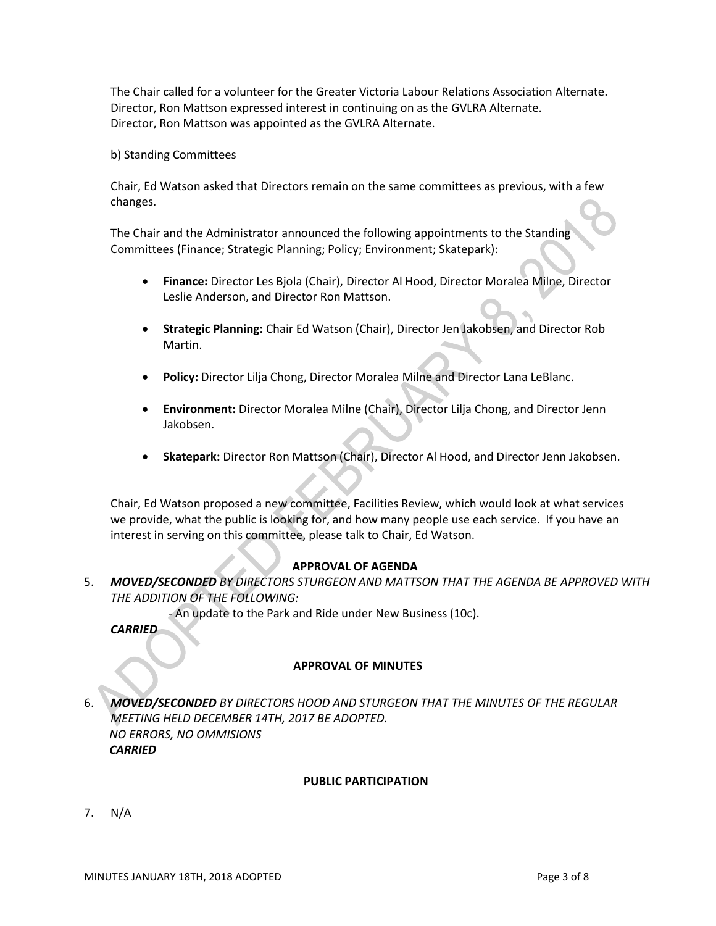The Chair called for a volunteer for the Greater Victoria Labour Relations Association Alternate. Director, Ron Mattson expressed interest in continuing on as the GVLRA Alternate. Director, Ron Mattson was appointed as the GVLRA Alternate.

#### b) Standing Committees

Chair, Ed Watson asked that Directors remain on the same committees as previous, with a few changes.

The Chair and the Administrator announced the following appointments to the Standing Committees (Finance; Strategic Planning; Policy; Environment; Skatepark):

- **Finance:** Director Les Bjola (Chair), Director Al Hood, Director Moralea Milne, Director Leslie Anderson, and Director Ron Mattson.
- **Strategic Planning:** Chair Ed Watson (Chair), Director Jen Jakobsen, and Director Rob Martin.
- **Policy:** Director Lilja Chong, Director Moralea Milne and Director Lana LeBlanc.
- **Environment:** Director Moralea Milne (Chair), Director Lilja Chong, and Director Jenn Jakobsen.
- **Skatepark:** Director Ron Mattson (Chair), Director Al Hood, and Director Jenn Jakobsen.

Chair, Ed Watson proposed a new committee, Facilities Review, which would look at what services we provide, what the public is looking for, and how many people use each service. If you have an interest in serving on this committee, please talk to Chair, Ed Watson.

# **APPROVAL OF AGENDA**

5. *MOVED/SECONDED BY DIRECTORS STURGEON AND MATTSON THAT THE AGENDA BE APPROVED WITH THE ADDITION OF THE FOLLOWING:*

- An update to the Park and Ride under New Business (10c).

*CARRIED*

# **APPROVAL OF MINUTES**

6. *MOVED/SECONDED BY DIRECTORS HOOD AND STURGEON THAT THE MINUTES OF THE REGULAR MEETING HELD DECEMBER 14TH, 2017 BE ADOPTED. NO ERRORS, NO OMMISIONS CARRIED*

#### **PUBLIC PARTICIPATION**

7. N/A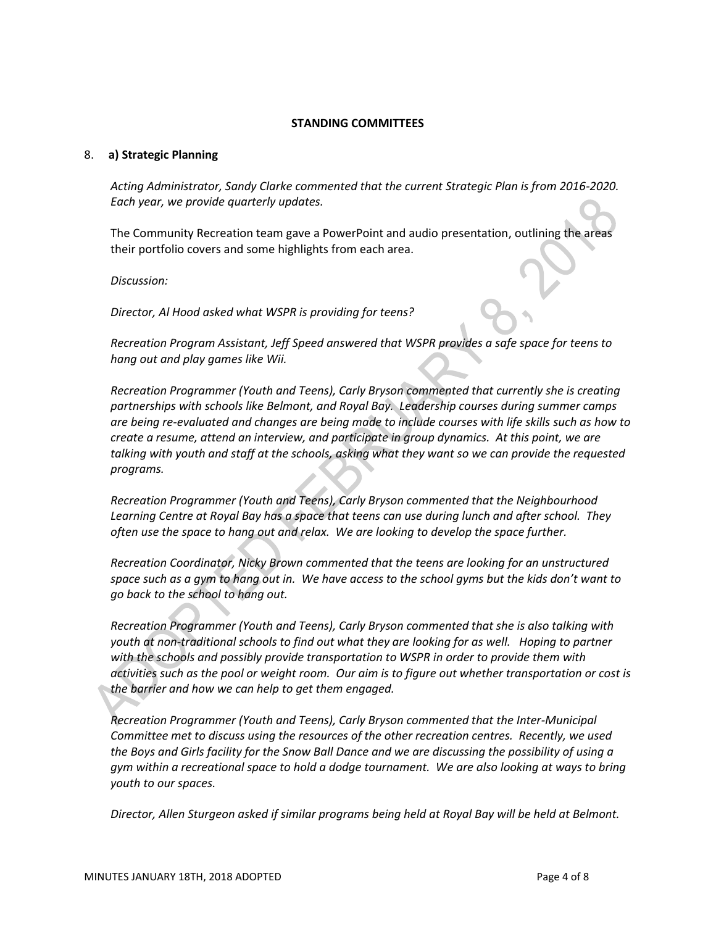#### **STANDING COMMITTEES**

#### 8. **a) Strategic Planning**

*Acting Administrator, Sandy Clarke commented that the current Strategic Plan is from 2016-2020. Each year, we provide quarterly updates.*

The Community Recreation team gave a PowerPoint and audio presentation, outlining the areas their portfolio covers and some highlights from each area.

*Discussion:*

*Director, Al Hood asked what WSPR is providing for teens?* 

*Recreation Program Assistant, Jeff Speed answered that WSPR provides a safe space for teens to hang out and play games like Wii.*

*Recreation Programmer (Youth and Teens), Carly Bryson commented that currently she is creating partnerships with schools like Belmont, and Royal Bay. Leadership courses during summer camps are being re-evaluated and changes are being made to include courses with life skills such as how to create a resume, attend an interview, and participate in group dynamics. At this point, we are talking with youth and staff at the schools, asking what they want so we can provide the requested programs.*

*Recreation Programmer (Youth and Teens), Carly Bryson commented that the Neighbourhood Learning Centre at Royal Bay has a space that teens can use during lunch and after school. They often use the space to hang out and relax. We are looking to develop the space further.*

*Recreation Coordinator, Nicky Brown commented that the teens are looking for an unstructured space such as a gym to hang out in. We have access to the school gyms but the kids don't want to go back to the school to hang out.*

*Recreation Programmer (Youth and Teens), Carly Bryson commented that she is also talking with youth at non-traditional schools to find out what they are looking for as well. Hoping to partner with the schools and possibly provide transportation to WSPR in order to provide them with activities such as the pool or weight room. Our aim is to figure out whether transportation or cost is the barrier and how we can help to get them engaged.*

*Recreation Programmer (Youth and Teens), Carly Bryson commented that the Inter-Municipal Committee met to discuss using the resources of the other recreation centres. Recently, we used the Boys and Girls facility for the Snow Ball Dance and we are discussing the possibility of using a gym within a recreational space to hold a dodge tournament. We are also looking at ways to bring youth to our spaces.*

*Director, Allen Sturgeon asked if similar programs being held at Royal Bay will be held at Belmont.*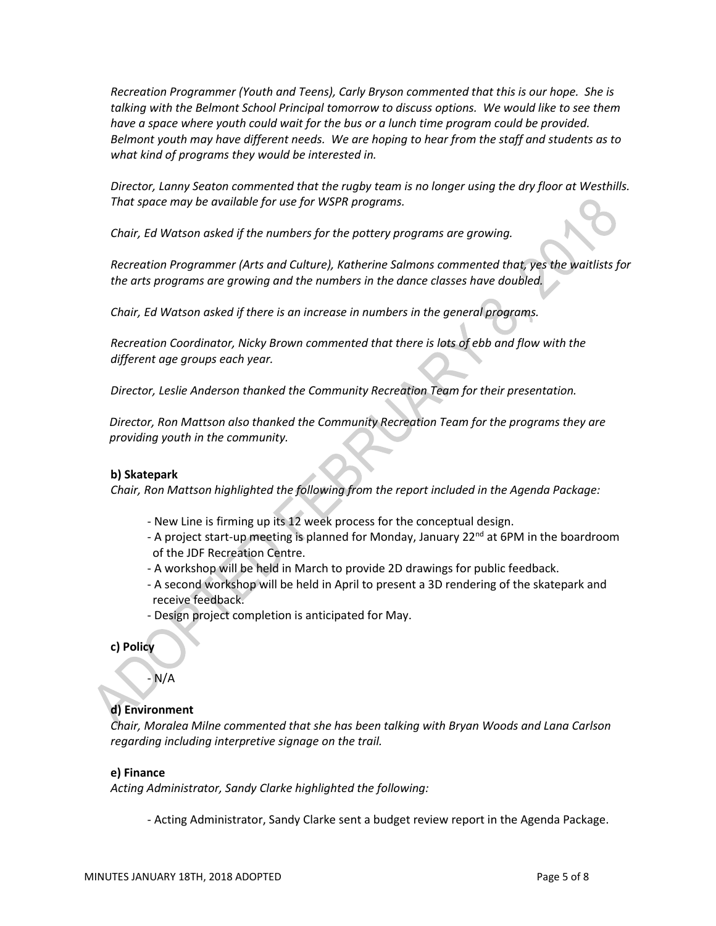*Recreation Programmer (Youth and Teens), Carly Bryson commented that this is our hope. She is talking with the Belmont School Principal tomorrow to discuss options. We would like to see them have a space where youth could wait for the bus or a lunch time program could be provided. Belmont youth may have different needs. We are hoping to hear from the staff and students as to what kind of programs they would be interested in.*

*Director, Lanny Seaton commented that the rugby team is no longer using the dry floor at Westhills. That space may be available for use for WSPR programs.*

*Chair, Ed Watson asked if the numbers for the pottery programs are growing.*

*Recreation Programmer (Arts and Culture), Katherine Salmons commented that, yes the waitlists for the arts programs are growing and the numbers in the dance classes have doubled.*

*Chair, Ed Watson asked if there is an increase in numbers in the general programs.*

*Recreation Coordinator, Nicky Brown commented that there is lots of ebb and flow with the different age groups each year.*

*Director, Leslie Anderson thanked the Community Recreation Team for their presentation.*

*Director, Ron Mattson also thanked the Community Recreation Team for the programs they are providing youth in the community.*

#### **b) Skatepark**

*Chair, Ron Mattson highlighted the following from the report included in the Agenda Package:*

- New Line is firming up its 12 week process for the conceptual design.
- A project start-up meeting is planned for Monday, January 22<sup>nd</sup> at 6PM in the boardroom of the JDF Recreation Centre.
- A workshop will be held in March to provide 2D drawings for public feedback.
- A second workshop will be held in April to present a 3D rendering of the skatepark and receive feedback.
- Design project completion is anticipated for May.

**c) Policy**

# $N/A$

# **d) Environment**

*Chair, Moralea Milne commented that she has been talking with Bryan Woods and Lana Carlson regarding including interpretive signage on the trail.*

#### **e) Finance**

*Acting Administrator, Sandy Clarke highlighted the following:*

- Acting Administrator, Sandy Clarke sent a budget review report in the Agenda Package.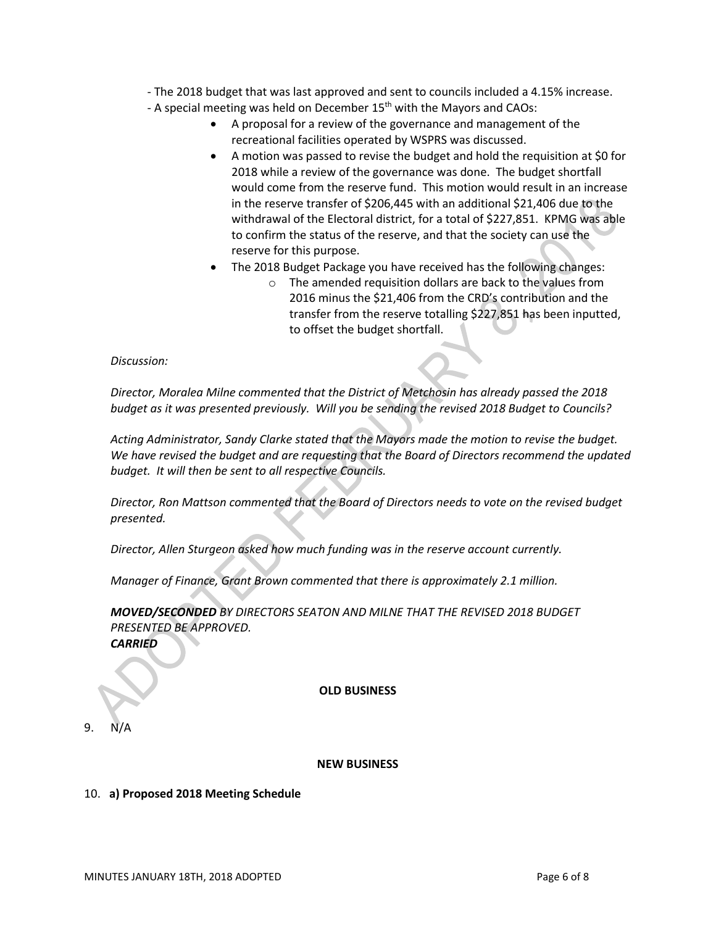- The 2018 budget that was last approved and sent to councils included a 4.15% increase.

- A special meeting was held on December 15<sup>th</sup> with the Mayors and CAOs:
	- A proposal for a review of the governance and management of the recreational facilities operated by WSPRS was discussed.
	- A motion was passed to revise the budget and hold the requisition at \$0 for 2018 while a review of the governance was done. The budget shortfall would come from the reserve fund. This motion would result in an increase in the reserve transfer of \$206,445 with an additional \$21,406 due to the withdrawal of the Electoral district, for a total of \$227,851. KPMG was able to confirm the status of the reserve, and that the society can use the reserve for this purpose.
	- The 2018 Budget Package you have received has the following changes:
		- o The amended requisition dollars are back to the values from 2016 minus the \$21,406 from the CRD's contribution and the transfer from the reserve totalling \$227,851 has been inputted, to offset the budget shortfall.

*Discussion:*

*Director, Moralea Milne commented that the District of Metchosin has already passed the 2018 budget as it was presented previously. Will you be sending the revised 2018 Budget to Councils?*

*Acting Administrator, Sandy Clarke stated that the Mayors made the motion to revise the budget. We have revised the budget and are requesting that the Board of Directors recommend the updated budget. It will then be sent to all respective Councils.*

*Director, Ron Mattson commented that the Board of Directors needs to vote on the revised budget presented.*

*Director, Allen Sturgeon asked how much funding was in the reserve account currently.*

*Manager of Finance, Grant Brown commented that there is approximately 2.1 million.*

*MOVED/SECONDED BY DIRECTORS SEATON AND MILNE THAT THE REVISED 2018 BUDGET PRESENTED BE APPROVED.*

*CARRIED*

**OLD BUSINESS**

 $9<sub>1</sub>$ 

#### **NEW BUSINESS**

#### 10. **a) Proposed 2018 Meeting Schedule**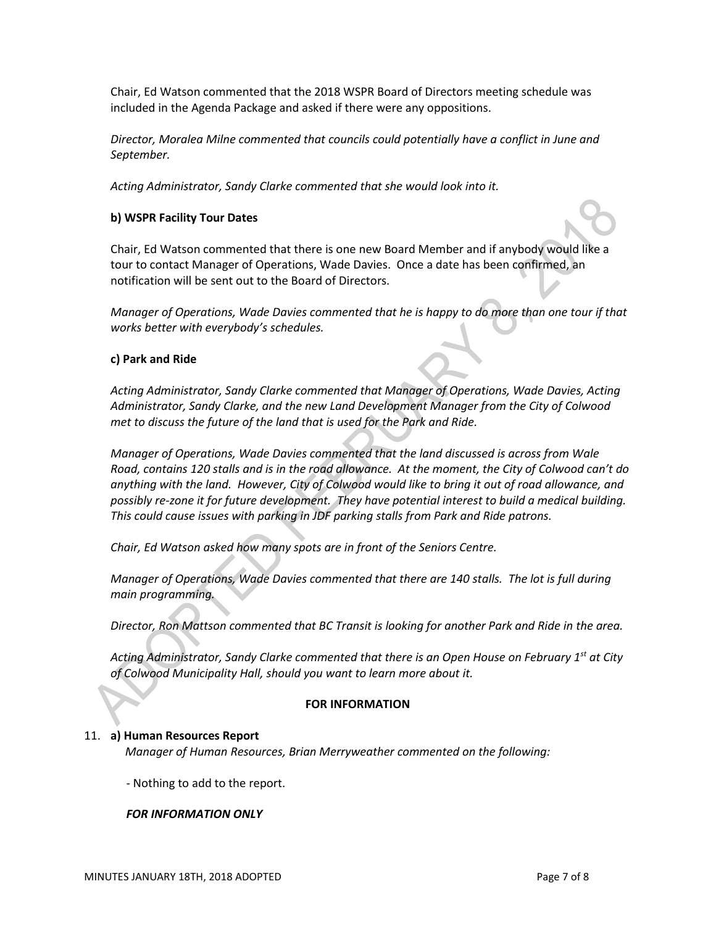Chair, Ed Watson commented that the 2018 WSPR Board of Directors meeting schedule was included in the Agenda Package and asked if there were any oppositions.

*Director, Moralea Milne commented that councils could potentially have a conflict in June and September.*

*Acting Administrator, Sandy Clarke commented that she would look into it.*

### **b) WSPR Facility Tour Dates**

Chair, Ed Watson commented that there is one new Board Member and if anybody would like a tour to contact Manager of Operations, Wade Davies. Once a date has been confirmed, an notification will be sent out to the Board of Directors.

*Manager of Operations, Wade Davies commented that he is happy to do more than one tour if that works better with everybody's schedules.*

#### **c) Park and Ride**

*Acting Administrator, Sandy Clarke commented that Manager of Operations, Wade Davies, Acting Administrator, Sandy Clarke, and the new Land Development Manager from the City of Colwood met to discuss the future of the land that is used for the Park and Ride.*

*Manager of Operations, Wade Davies commented that the land discussed is across from Wale Road, contains 120 stalls and is in the road allowance. At the moment, the City of Colwood can't do anything with the land. However, City of Colwood would like to bring it out of road allowance, and possibly re-zone it for future development. They have potential interest to build a medical building. This could cause issues with parking in JDF parking stalls from Park and Ride patrons.* 

*Chair, Ed Watson asked how many spots are in front of the Seniors Centre.*

*Manager of Operations, Wade Davies commented that there are 140 stalls. The lot is full during main programming.*

*Director, Ron Mattson commented that BC Transit is looking for another Park and Ride in the area.*

*Acting Administrator, Sandy Clarke commented that there is an Open House on February 1st at City of Colwood Municipality Hall, should you want to learn more about it.*

#### **FOR INFORMATION**

#### 11. **a) Human Resources Report**

*Manager of Human Resources, Brian Merryweather commented on the following:*

- Nothing to add to the report.

# *FOR INFORMATION ONLY*